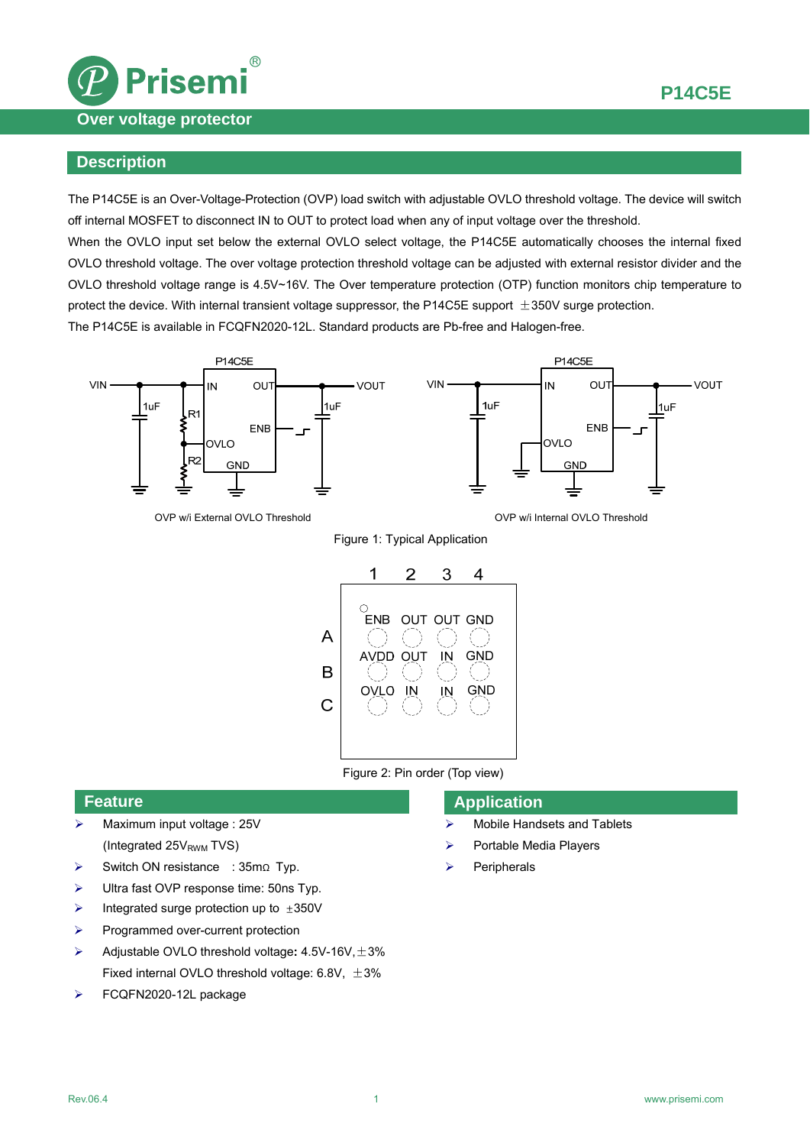



## **Description**

The P14C5E is an Over-Voltage-Protection (OVP) load switch with adjustable OVLO threshold voltage. The device will switch off internal MOSFET to disconnect IN to OUT to protect load when any of input voltage over the threshold.

When the OVLO input set below the external OVLO select voltage, the P14C5E automatically chooses the internal fixed OVLO threshold voltage. The over voltage protection threshold voltage can be adjusted with external resistor divider and the OVLO threshold voltage range is 4.5V~16V. The Over temperature protection (OTP) function monitors chip temperature to protect the device. With internal transient voltage suppressor, the P14C5E support  $\pm 350V$  surge protection. The P14C5E is available in FCQFN2020-12L. Standard products are Pb-free and Halogen-free.



OVP w/i External OVLO Threshold **OV Provides and COV COV** w/i Internal OVLO Threshold

Figure 1: Typical Application



Figure 2: Pin order (Top view)

### **Feature**

- $\triangleright$  Maximum input voltage : 25V (Integrated  $25V<sub>RWM</sub> TVS$ )
- Switch ON resistance : 35mΩ Typ.
- Ultra fast OVP response time: 50ns Typ.
- $\triangleright$  Integrated surge protection up to  $\pm 350V$
- $\triangleright$  Programmed over-current protection
- Adjustable OVLO threshold voltage**:** 4.5V-16V,±3% Fixed internal OVLO threshold voltage:  $6.8V, \pm 3\%$
- FCQFN2020-12L package

## **Application**

- > Mobile Handsets and Tablets
- $\triangleright$  Portable Media Players
- Peripherals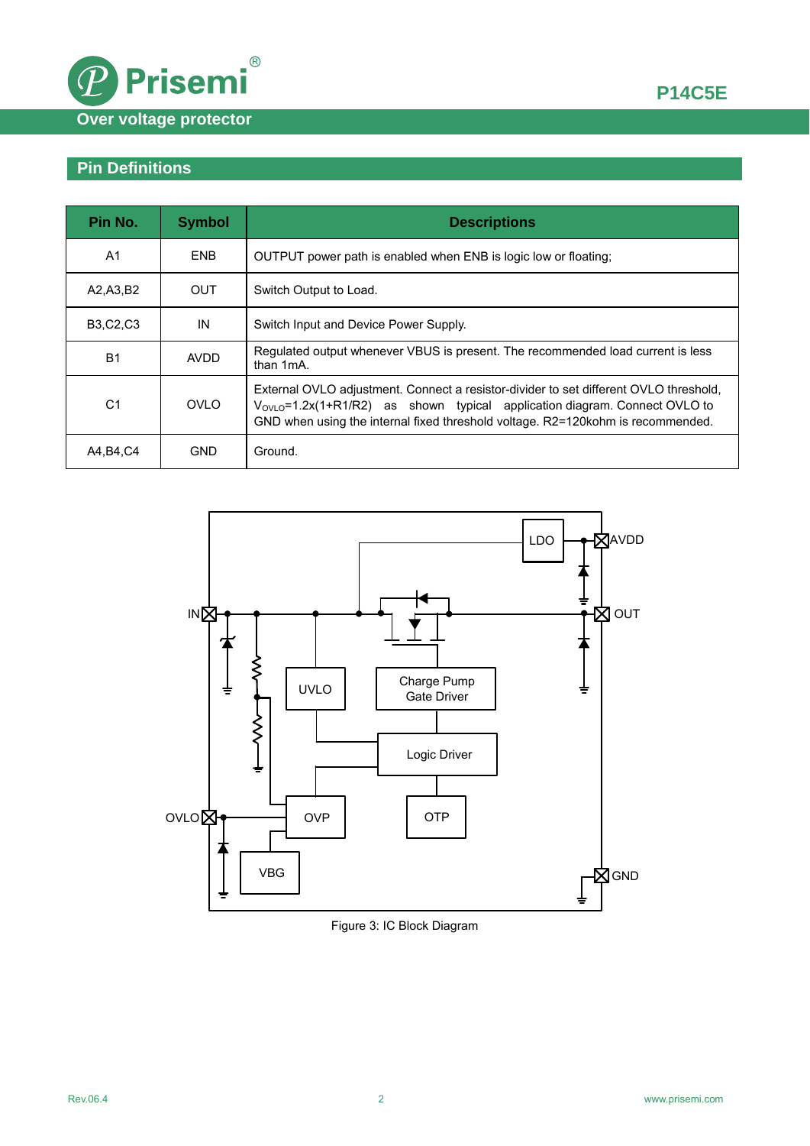



# **Pin Definitions**

| Pin No.         | <b>Symbol</b> | <b>Descriptions</b>                                                                                                                                                                                                                                         |  |
|-----------------|---------------|-------------------------------------------------------------------------------------------------------------------------------------------------------------------------------------------------------------------------------------------------------------|--|
| A <sub>1</sub>  | <b>ENB</b>    | OUTPUT power path is enabled when ENB is logic low or floating.                                                                                                                                                                                             |  |
| A2, A3, B2      | OUT.          | Switch Output to Load.                                                                                                                                                                                                                                      |  |
| <b>B3,C2,C3</b> | IN            | Switch Input and Device Power Supply.                                                                                                                                                                                                                       |  |
| <b>B1</b>       | <b>AVDD</b>   | Regulated output whenever VBUS is present. The recommended load current is less<br>than 1mA.                                                                                                                                                                |  |
| C <sub>1</sub>  | <b>OVLO</b>   | External OVLO adjustment. Connect a resistor-divider to set different OVLO threshold,<br>$V_{OVLO}$ =1.2x(1+R1/R2) as shown typical application diagram. Connect OVLO to<br>GND when using the internal fixed threshold voltage. R2=120kohm is recommended. |  |
| A4, B4, C4      | <b>GND</b>    | Ground.                                                                                                                                                                                                                                                     |  |



### Figure 3: IC Block Diagram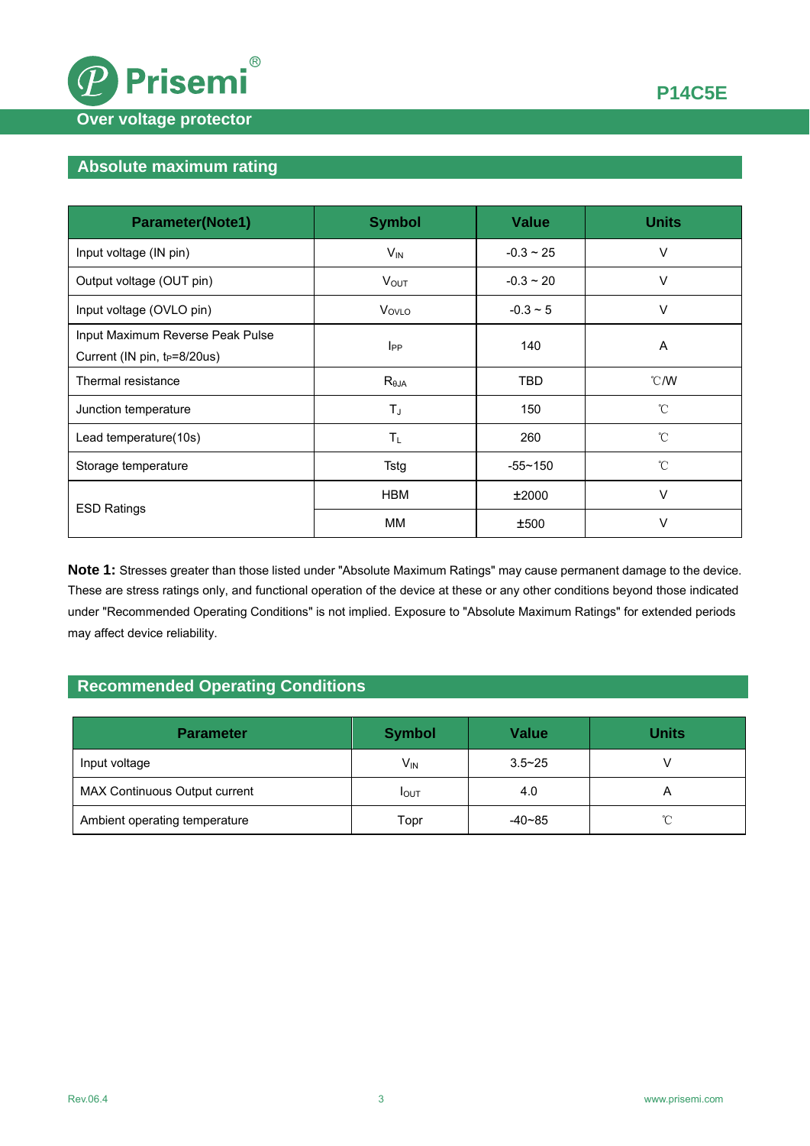

## **Absolute maximum rating**

| <b>Parameter(Note1)</b>                                                      | <b>Symbol</b>           | <b>Value</b>   | <b>Units</b>    |
|------------------------------------------------------------------------------|-------------------------|----------------|-----------------|
| Input voltage (IN pin)                                                       | $V_{\text{IN}}$         | $-0.3 \sim 25$ | V               |
| Output voltage (OUT pin)                                                     | <b>V</b> <sub>OUT</sub> | $-0.3 \sim 20$ | V               |
| Input voltage (OVLO pin)                                                     | Vovlo                   | $-0.3 \sim 5$  | V               |
| Input Maximum Reverse Peak Pulse<br>Current (IN pin, t <sub>P</sub> =8/20us) | $I_{PP}$                | 140            | Α               |
| Thermal resistance                                                           | $R_{\theta JA}$         | <b>TBD</b>     | $^{\circ}$ C/W  |
| Junction temperature                                                         | $T_{J}$                 | 150            | $^{\circ}$ C    |
| Lead temperature(10s)                                                        | $T_{L}$                 | 260            | $\rm ^{\circ}C$ |
| Storage temperature                                                          | Tstg                    | $-55 - 150$    | °C              |
|                                                                              | <b>HBM</b>              | ±2000          | V               |
| <b>ESD Ratings</b>                                                           | MМ                      | ±500           | $\vee$          |

**Note 1:** Stresses greater than those listed under "Absolute Maximum Ratings" may cause permanent damage to the device. These are stress ratings only, and functional operation of the device at these or any other conditions beyond those indicated under "Recommended Operating Conditions" is not implied. Exposure to "Absolute Maximum Ratings" for extended periods may affect device reliability.

## **Recommended Operating Conditions**

| <b>Parameter</b>              | <b>Symbol</b>   | <b>Value</b> | Units |
|-------------------------------|-----------------|--------------|-------|
| Input voltage                 | V <sub>IN</sub> | $3.5 - 25$   |       |
| MAX Continuous Output current | <b>I</b> OUT    | 4.0          | A     |
| Ambient operating temperature | Topr            | $-40-85$     | °C    |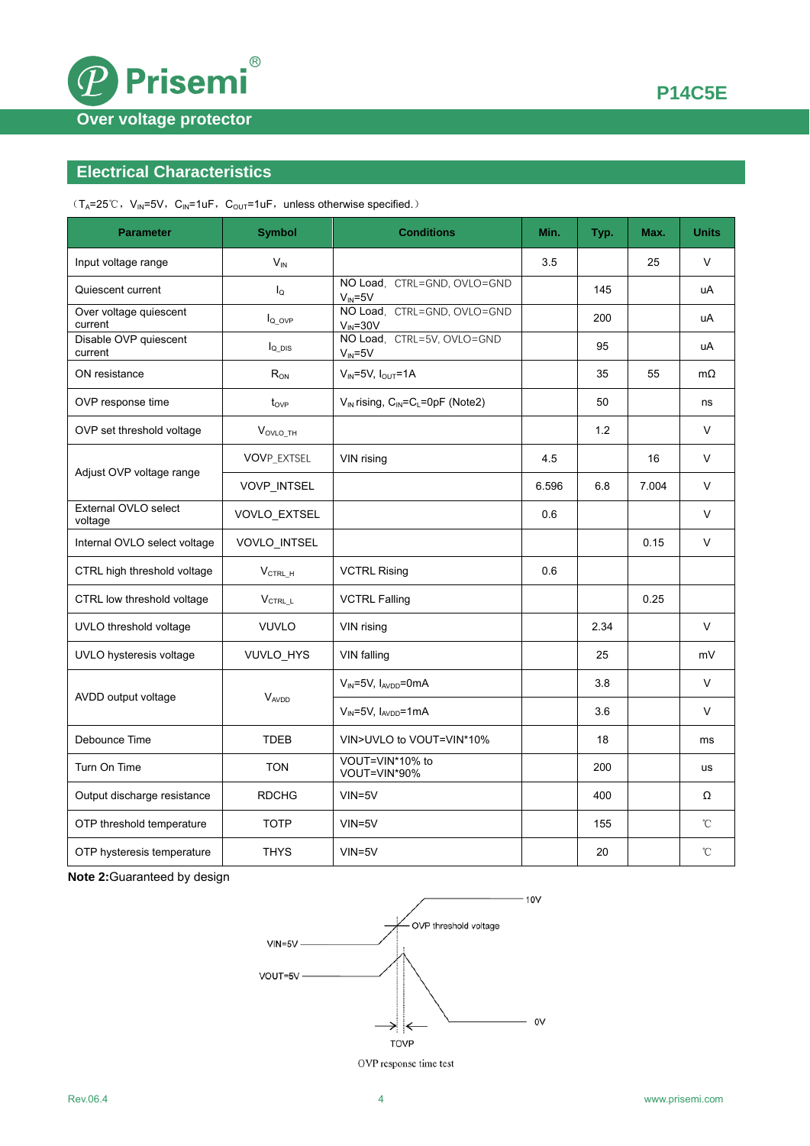

## **Electrical Characteristics**

 $(T_A=25^{\circ}\text{C}, V_{IN}=5\text{V}, C_{IN}=1\text{uF}, C_{OUT}=1\text{uF}, \text{unless otherwise specified.})$ 

| <b>Parameter</b>                  | <b>Symbol</b>         | <b>Conditions</b>                                   | Min.  | Typ. | Max.  | <b>Units</b> |
|-----------------------------------|-----------------------|-----------------------------------------------------|-------|------|-------|--------------|
| Input voltage range               | $V_{IN}$              |                                                     | 3.5   |      | 25    | V            |
| Quiescent current                 | $I_{\Omega}$          | NO Load, CTRL=GND, OVLO=GND<br>$V_{\text{IN}} = 5V$ |       | 145  |       | uA           |
| Over voltage quiescent<br>current | $I_{Q\_OVP}$          | NO Load, CTRL=GND, OVLO=GND<br>$V_{IN} = 30V$       |       | 200  |       | uA           |
| Disable OVP quiescent<br>current  | $I_{Q_DIS}$           | NO Load, CTRL=5V, OVLO=GND<br>$V_{IN} = 5V$         |       | 95   |       | uA           |
| ON resistance                     | $R_{ON}$              | $V_{IN} = 5V$ , $I_{OUT} = 1A$                      |       | 35   | 55    | $m\Omega$    |
| OVP response time                 | $t_{OVP}$             | $V_{IN}$ rising, $C_{IN} = C_L = 0pF$ (Note2)       |       | 50   |       | ns           |
| OVP set threshold voltage         | $V_{\text{OVLO\_TH}}$ |                                                     |       | 1.2  |       | V            |
| Adjust OVP voltage range          | <b>VOVP_EXTSEL</b>    | VIN rising                                          | 4.5   |      | 16    | V            |
|                                   | VOVP_INTSEL           |                                                     | 6.596 | 6.8  | 7.004 | V            |
| External OVLO select<br>voltage   | VOVLO_EXTSEL          |                                                     | 0.6   |      |       | $\vee$       |
| Internal OVLO select voltage      | VOVLO_INTSEL          |                                                     |       |      | 0.15  | V            |
| CTRL high threshold voltage       | $V_{\text{CTRL\_H}}$  | <b>VCTRL Rising</b>                                 | 0.6   |      |       |              |
| CTRL low threshold voltage        | V <sub>CTRL L</sub>   | <b>VCTRL Falling</b>                                |       |      | 0.25  |              |
| UVLO threshold voltage            | <b>VUVLO</b>          | VIN rising                                          |       | 2.34 |       | $\vee$       |
| UVLO hysteresis voltage           | VUVLO_HYS             | VIN falling                                         |       | 25   |       | mV           |
|                                   | VAVDD                 | $V_{IN} = 5V$ , $I_{AVDD} = 0mA$                    |       | 3.8  |       | V            |
| AVDD output voltage               |                       | $V_{IN} = 5V$ , $I_{AVDD} = 1mA$                    |       | 3.6  |       | V            |
| Debounce Time                     | <b>TDEB</b>           | VIN>UVLO to VOUT=VIN*10%                            |       | 18   |       | ms           |
| Turn On Time                      | <b>TON</b>            | VOUT=VIN*10% to<br>VOUT=VIN*90%                     |       | 200  |       | us           |
| Output discharge resistance       | <b>RDCHG</b>          | $VIN = 5V$                                          |       | 400  |       | Ω            |
| OTP threshold temperature         | <b>TOTP</b>           | $VIN = 5V$                                          |       | 155  |       | °C           |
| OTP hysteresis temperature        | <b>THYS</b>           | $VIN = 5V$                                          |       | 20   |       | °C           |

**Note 2:**Guaranteed by design



OVP response time test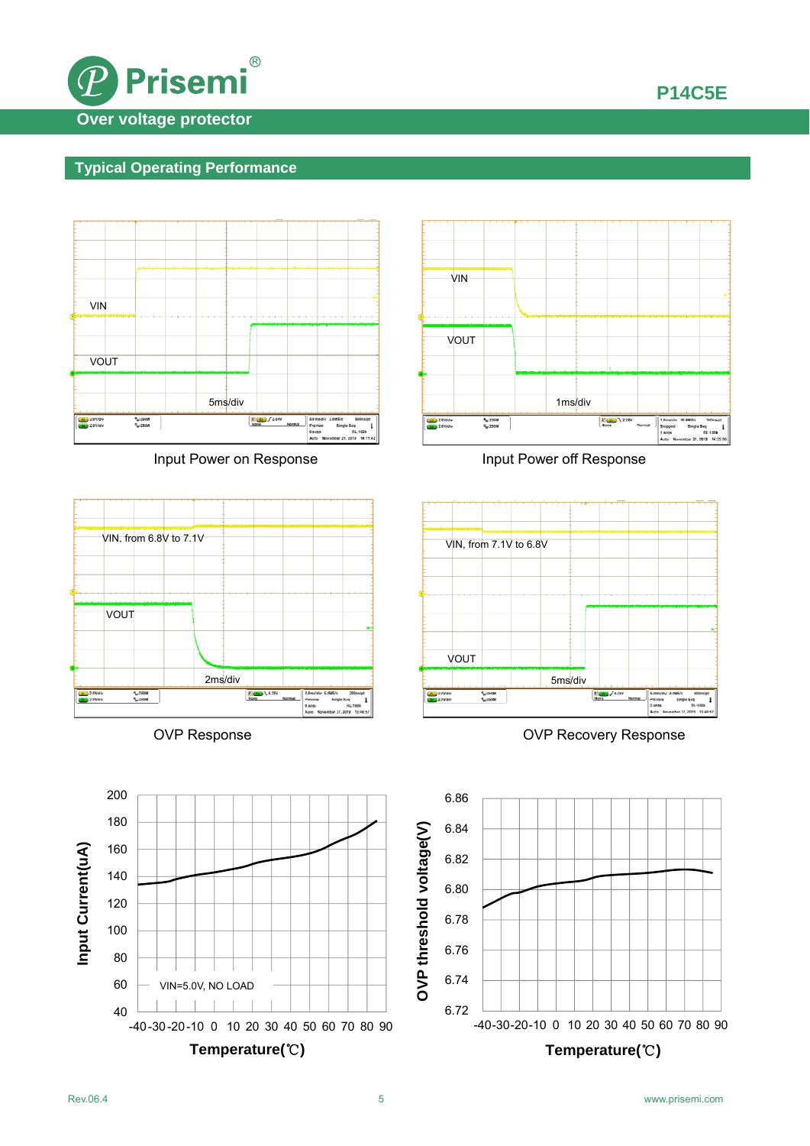

# **Typical Operating Performance**



Input Power on Response Input Power off Response







OVP Response **OVP Recovery Response** 

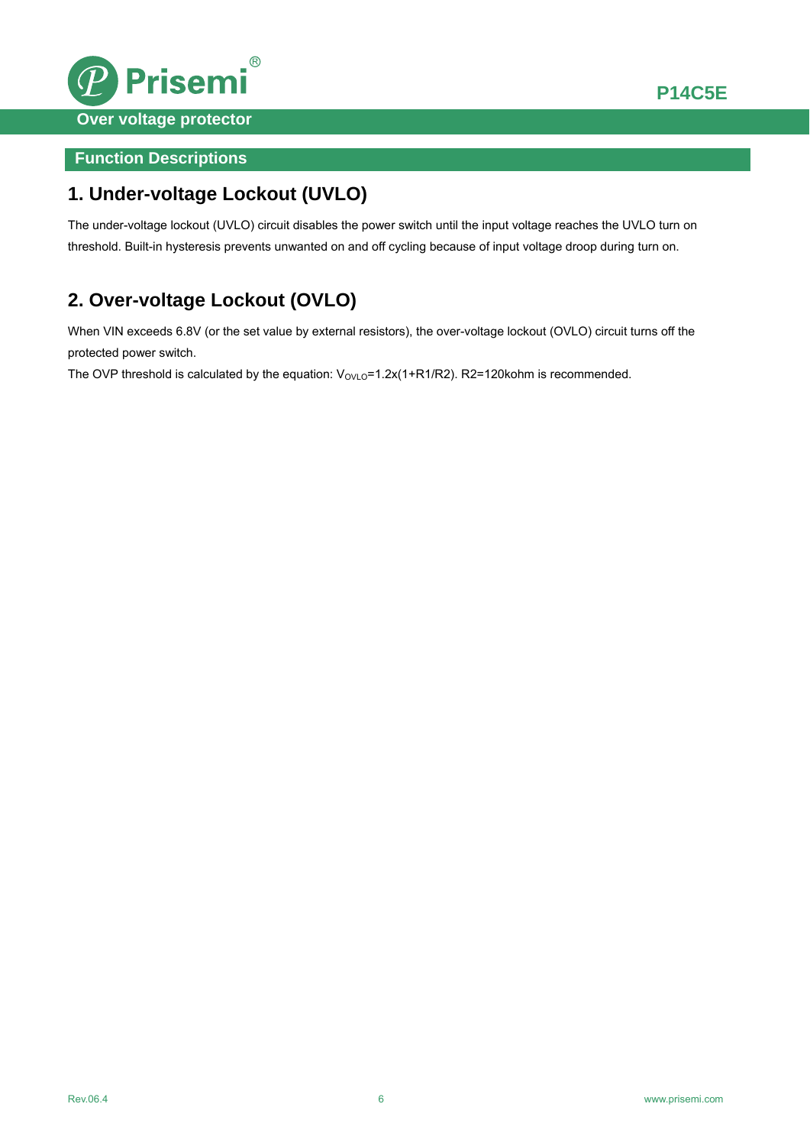

## **Function Descriptions**

# **1. Under-voltage Lockout (UVLO)**

The under-voltage lockout (UVLO) circuit disables the power switch until the input voltage reaches the UVLO turn on threshold. Built-in hysteresis prevents unwanted on and off cycling because of input voltage droop during turn on.

# **2. Over-voltage Lockout (OVLO)**

When VIN exceeds 6.8V (or the set value by external resistors), the over-voltage lockout (OVLO) circuit turns off the protected power switch.

The OVP threshold is calculated by the equation:  $V_{\text{OVLO}} = 1.2x(1+R1/R2)$ . R2=120kohm is recommended.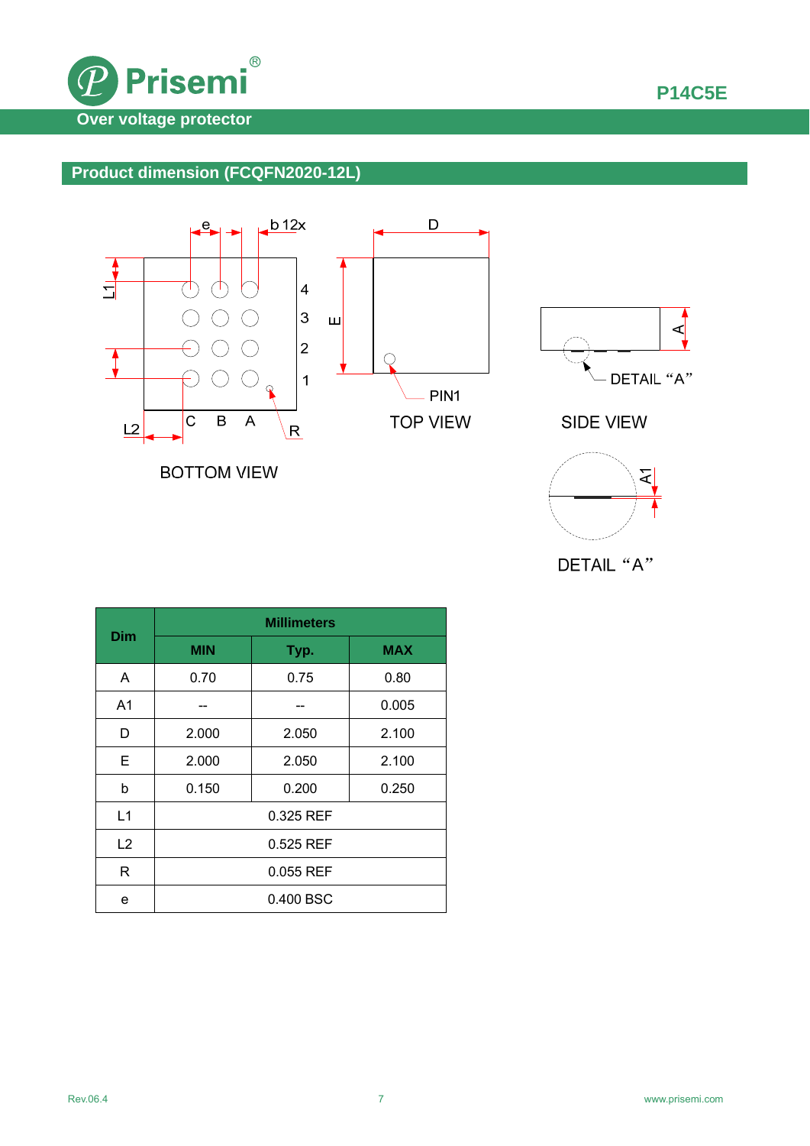

## **Product dimension (FCQFN2020-12L)**



**BOTTOM VIEW** 





| Dim            | <b>Millimeters</b> |       |            |  |  |
|----------------|--------------------|-------|------------|--|--|
|                | <b>MIN</b>         | Typ.  | <b>MAX</b> |  |  |
| A              | 0.70               | 0.75  | 0.80       |  |  |
| A <sub>1</sub> |                    |       | 0.005      |  |  |
| D              | 2.000              | 2.050 | 2.100      |  |  |
| E              | 2.000              | 2.050 | 2.100      |  |  |
| b              | 0.150              | 0.200 | 0.250      |  |  |
| L1             | 0.325 REF          |       |            |  |  |
| L2             | 0.525 REF          |       |            |  |  |
| R              | 0.055 REF          |       |            |  |  |
| e              | 0.400 BSC          |       |            |  |  |